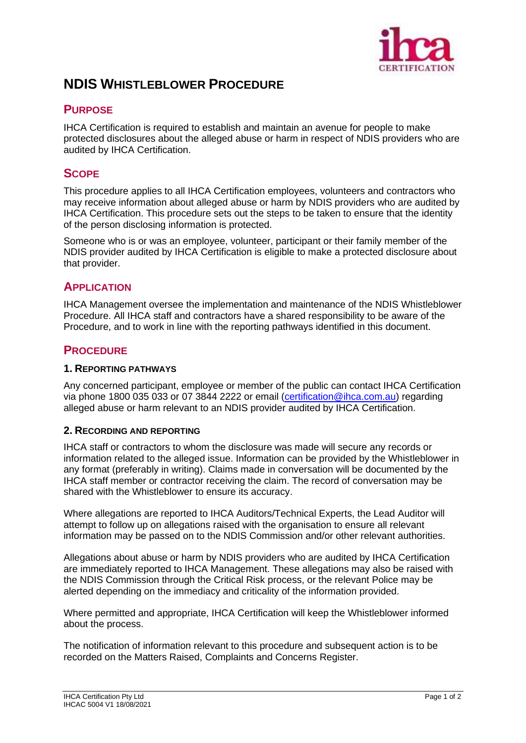

# **NDIS WHISTLEBLOWER PROCEDURE**

# **PURPOSE**

IHCA Certification is required to establish and maintain an avenue for people to make protected disclosures about the alleged abuse or harm in respect of NDIS providers who are audited by IHCA Certification.

# **SCOPE**

This procedure applies to all IHCA Certification employees, volunteers and contractors who may receive information about alleged abuse or harm by NDIS providers who are audited by IHCA Certification. This procedure sets out the steps to be taken to ensure that the identity of the person disclosing information is protected.

Someone who is or was an employee, volunteer, participant or their family member of the NDIS provider audited by IHCA Certification is eligible to make a protected disclosure about that provider.

## **APPLICATION**

IHCA Management oversee the implementation and maintenance of the NDIS Whistleblower Procedure. All IHCA staff and contractors have a shared responsibility to be aware of the Procedure, and to work in line with the reporting pathways identified in this document.

## **PROCEDURE**

#### **1. REPORTING PATHWAYS**

Any concerned participant, employee or member of the public can contact IHCA Certification via phone 1800 035 033 or 07 3844 2222 or email [\(certification@ihca.com.au\)](mailto:certification@ihca.com.au) regarding alleged abuse or harm relevant to an NDIS provider audited by IHCA Certification.

### **2. RECORDING AND REPORTING**

IHCA staff or contractors to whom the disclosure was made will secure any records or information related to the alleged issue. Information can be provided by the Whistleblower in any format (preferably in writing). Claims made in conversation will be documented by the IHCA staff member or contractor receiving the claim. The record of conversation may be shared with the Whistleblower to ensure its accuracy.

Where allegations are reported to IHCA Auditors/Technical Experts, the Lead Auditor will attempt to follow up on allegations raised with the organisation to ensure all relevant information may be passed on to the NDIS Commission and/or other relevant authorities.

Allegations about abuse or harm by NDIS providers who are audited by IHCA Certification are immediately reported to IHCA Management. These allegations may also be raised with the NDIS Commission through the Critical Risk process, or the relevant Police may be alerted depending on the immediacy and criticality of the information provided.

Where permitted and appropriate, IHCA Certification will keep the Whistleblower informed about the process.

The notification of information relevant to this procedure and subsequent action is to be recorded on the Matters Raised, Complaints and Concerns Register.